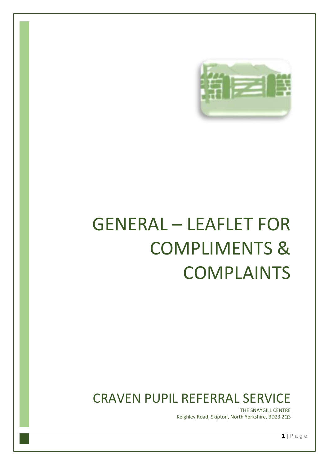

# GENERAL – LEAFLET FOR COMPLIMENTS & COMPLAINTS

# CRAVEN PUPIL REFERRAL SERVICE

THE SNAYGILL CENTRE Keighley Road, Skipton, North Yorkshire, BD23 2QS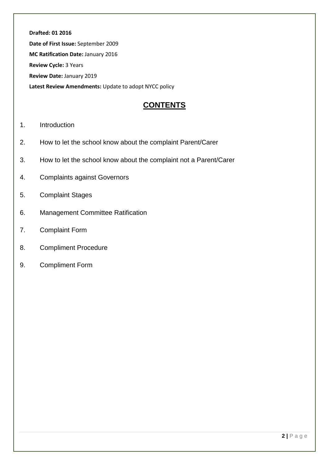**Drafted: 01 2016 Date of First Issue:** September 2009 **MC Ratification Date:** January 2016 **Review Cycle:** 3 Years **Review Date:** January 2019 **Latest Review Amendments:** Update to adopt NYCC policy

# **CONTENTS**

- 1. Introduction
- 2. How to let the school know about the complaint Parent/Carer
- 3. How to let the school know about the complaint not a Parent/Carer
- 4. Complaints against Governors
- 5. Complaint Stages
- 6. Management Committee Ratification
- 7. Complaint Form
- 8. Compliment Procedure
- 9. Compliment Form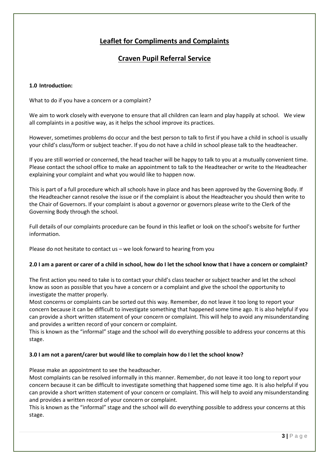## **Leaflet for Compliments and Complaints**

### **Craven Pupil Referral Service**

#### **1.0 Introduction:**

What to do if you have a concern or a complaint?

We aim to work closely with everyone to ensure that all children can learn and play happily at school. We view all complaints in a positive way, as it helps the school improve its practices.

However, sometimes problems do occur and the best person to talk to first if you have a child in school is usually your child's class/form or subject teacher. If you do not have a child in school please talk to the headteacher.

If you are still worried or concerned, the head teacher will be happy to talk to you at a mutually convenient time. Please contact the school office to make an appointment to talk to the Headteacher or write to the Headteacher explaining your complaint and what you would like to happen now.

This is part of a full procedure which all schools have in place and has been approved by the Governing Body. If the Headteacher cannot resolve the issue or if the complaint is about the Headteacher you should then write to the Chair of Governors. If your complaint is about a governor or governors please write to the Clerk of the Governing Body through the school.

Full details of our complaints procedure can be found in this leaflet or look on the school's website for further information.

Please do not hesitate to contact us – we look forward to hearing from you

#### **2.0 I am a parent or carer of a child in school, how do I let the school know that I have a concern or complaint?**

The first action you need to take is to contact your child's class teacher or subject teacher and let the school know as soon as possible that you have a concern or a complaint and give the school the opportunity to investigate the matter properly.

Most concerns or complaints can be sorted out this way. Remember, do not leave it too long to report your concern because it can be difficult to investigate something that happened some time ago. It is also helpful if you can provide a short written statement of your concern or complaint. This will help to avoid any misunderstanding and provides a written record of your concern or complaint.

This is known as the "informal" stage and the school will do everything possible to address your concerns at this stage.

#### **3.0 I am not a parent/carer but would like to complain how do I let the school know?**

Please make an appointment to see the headteacher.

Most complaints can be resolved informally in this manner. Remember, do not leave it too long to report your concern because it can be difficult to investigate something that happened some time ago. It is also helpful if you can provide a short written statement of your concern or complaint. This will help to avoid any misunderstanding and provides a written record of your concern or complaint.

This is known as the "informal" stage and the school will do everything possible to address your concerns at this stage.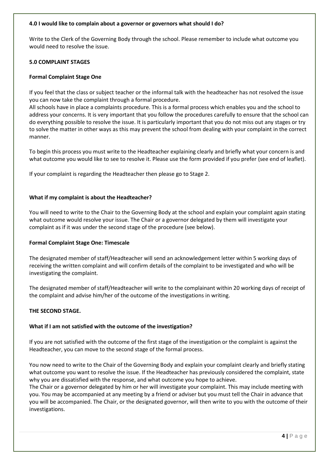#### **4.0 I would like to complain about a governor or governors what should I do?**

Write to the Clerk of the Governing Body through the school. Please remember to include what outcome you would need to resolve the issue.

#### **5.0 COMPLAINT STAGES**

#### **Formal Complaint Stage One**

If you feel that the class or subject teacher or the informal talk with the headteacher has not resolved the issue you can now take the complaint through a formal procedure.

All schools have in place a complaints procedure. This is a formal process which enables you and the school to address your concerns. It is very important that you follow the procedures carefully to ensure that the school can do everything possible to resolve the issue. It is particularly important that you do not miss out any stages or try to solve the matter in other ways as this may prevent the school from dealing with your complaint in the correct manner.

To begin this process you must write to the Headteacher explaining clearly and briefly what your concern is and what outcome you would like to see to resolve it. Please use the form provided if you prefer (see end of leaflet).

If your complaint is regarding the Headteacher then please go to Stage 2.

#### **What if my complaint is about the Headteacher?**

You will need to write to the Chair to the Governing Body at the school and explain your complaint again stating what outcome would resolve your issue. The Chair or a governor delegated by them will investigate your complaint as if it was under the second stage of the procedure (see below).

#### **Formal Complaint Stage One: Timescale**

The designated member of staff/Headteacher will send an acknowledgement letter within 5 working days of receiving the written complaint and will confirm details of the complaint to be investigated and who will be investigating the complaint.

The designated member of staff/Headteacher will write to the complainant within 20 working days of receipt of the complaint and advise him/her of the outcome of the investigations in writing.

#### **THE SECOND STAGE.**

#### **What if I am not satisfied with the outcome of the investigation?**

If you are not satisfied with the outcome of the first stage of the investigation or the complaint is against the Headteacher, you can move to the second stage of the formal process.

You now need to write to the Chair of the Governing Body and explain your complaint clearly and briefly stating what outcome you want to resolve the issue. If the Headteacher has previously considered the complaint, state why you are dissatisfied with the response, and what outcome you hope to achieve.

The Chair or a governor delegated by him or her will investigate your complaint. This may include meeting with you. You may be accompanied at any meeting by a friend or adviser but you must tell the Chair in advance that you will be accompanied. The Chair, or the designated governor, will then write to you with the outcome of their investigations.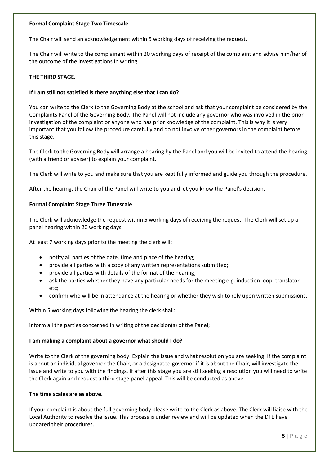#### **Formal Complaint Stage Two Timescale**

The Chair will send an acknowledgement within 5 working days of receiving the request.

The Chair will write to the complainant within 20 working days of receipt of the complaint and advise him/her of the outcome of the investigations in writing.

#### **THE THIRD STAGE.**

#### **If I am still not satisfied is there anything else that I can do?**

You can write to the Clerk to the Governing Body at the school and ask that your complaint be considered by the Complaints Panel of the Governing Body. The Panel will not include any governor who was involved in the prior investigation of the complaint or anyone who has prior knowledge of the complaint. This is why it is very important that you follow the procedure carefully and do not involve other governors in the complaint before this stage.

The Clerk to the Governing Body will arrange a hearing by the Panel and you will be invited to attend the hearing (with a friend or adviser) to explain your complaint.

The Clerk will write to you and make sure that you are kept fully informed and guide you through the procedure.

After the hearing, the Chair of the Panel will write to you and let you know the Panel's decision.

#### **Formal Complaint Stage Three Timescale**

The Clerk will acknowledge the request within 5 working days of receiving the request. The Clerk will set up a panel hearing within 20 working days.

At least 7 working days prior to the meeting the clerk will:

- notify all parties of the date, time and place of the hearing;
- provide all parties with a copy of any written representations submitted;
- provide all parties with details of the format of the hearing;
- ask the parties whether they have any particular needs for the meeting e.g. induction loop, translator etc;
- confirm who will be in attendance at the hearing or whether they wish to rely upon written submissions.

Within 5 working days following the hearing the clerk shall:

inform all the parties concerned in writing of the decision(s) of the Panel;

#### **I am making a complaint about a governor what should I do?**

Write to the Clerk of the governing body. Explain the issue and what resolution you are seeking. If the complaint is about an individual governor the Chair, or a designated governor if it is about the Chair, will investigate the issue and write to you with the findings. If after this stage you are still seeking a resolution you will need to write the Clerk again and request a third stage panel appeal. This will be conducted as above.

#### **The time scales are as above.**

If your complaint is about the full governing body please write to the Clerk as above. The Clerk will liaise with the Local Authority to resolve the issue. This process is under review and will be updated when the DFE have updated their procedures.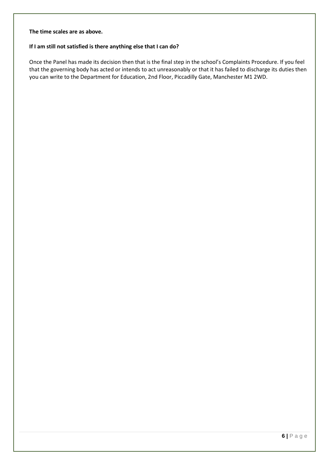#### **The time scales are as above.**

#### **If I am still not satisfied is there anything else that I can do?**

Once the Panel has made its decision then that is the final step in the school's Complaints Procedure. If you feel that the governing body has acted or intends to act unreasonably or that it has failed to discharge its duties then you can write to the Department for Education, 2nd Floor, Piccadilly Gate, Manchester M1 2WD.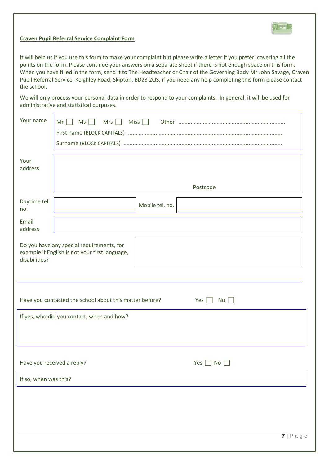

#### **Craven Pupil Referral Service Complaint Form**

It will help us if you use this form to make your complaint but please write a letter if you prefer, covering all the points on the form. Please continue your answers on a separate sheet if there is not enough space on this form. When you have filled in the form, send it to The Headteacher or Chair of the Governing Body Mr John Savage, Craven Pupil Referral Service, Keighley Road, Skipton, BD23 2QS, if you need any help completing this form please contact the school.

We will only process your personal data in order to respond to your complaints. In general, it will be used for administrative and statistical purposes.

| Your name                                                                                   | $Mr \Box$<br>$MS \Box$<br>Mrs $\Box$                                                     |  |  |  |  |
|---------------------------------------------------------------------------------------------|------------------------------------------------------------------------------------------|--|--|--|--|
|                                                                                             |                                                                                          |  |  |  |  |
|                                                                                             |                                                                                          |  |  |  |  |
|                                                                                             |                                                                                          |  |  |  |  |
| Your<br>address                                                                             |                                                                                          |  |  |  |  |
|                                                                                             |                                                                                          |  |  |  |  |
|                                                                                             | Postcode                                                                                 |  |  |  |  |
|                                                                                             |                                                                                          |  |  |  |  |
| Daytime tel.<br>no.                                                                         | Mobile tel. no.                                                                          |  |  |  |  |
| Email                                                                                       |                                                                                          |  |  |  |  |
| address                                                                                     |                                                                                          |  |  |  |  |
|                                                                                             |                                                                                          |  |  |  |  |
| Do you have any special requirements, for<br>example if English is not your first language, |                                                                                          |  |  |  |  |
| disabilities?                                                                               |                                                                                          |  |  |  |  |
|                                                                                             |                                                                                          |  |  |  |  |
|                                                                                             |                                                                                          |  |  |  |  |
|                                                                                             |                                                                                          |  |  |  |  |
|                                                                                             | Have you contacted the school about this matter before?<br>Yes $\Box$<br>No <sub>1</sub> |  |  |  |  |
|                                                                                             | If yes, who did you contact, when and how?                                               |  |  |  |  |
|                                                                                             |                                                                                          |  |  |  |  |
|                                                                                             |                                                                                          |  |  |  |  |
|                                                                                             |                                                                                          |  |  |  |  |
|                                                                                             |                                                                                          |  |  |  |  |
|                                                                                             | Have you received a reply?<br>Yes $\Box$ No $\Box$                                       |  |  |  |  |
| If so, when was this?                                                                       |                                                                                          |  |  |  |  |
|                                                                                             |                                                                                          |  |  |  |  |
|                                                                                             |                                                                                          |  |  |  |  |
|                                                                                             |                                                                                          |  |  |  |  |
|                                                                                             |                                                                                          |  |  |  |  |
|                                                                                             |                                                                                          |  |  |  |  |
|                                                                                             | 7   P a g e                                                                              |  |  |  |  |
|                                                                                             |                                                                                          |  |  |  |  |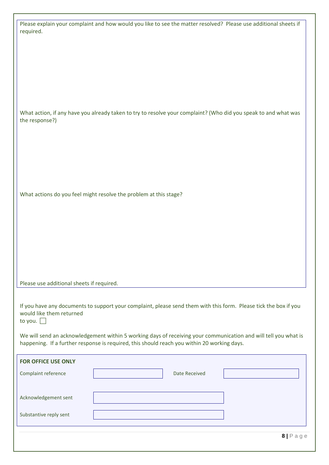| Please explain your complaint and how would you like to see the matter resolved? Please use additional sheets if<br>required.                                                                                  |  |  |  |  |  |
|----------------------------------------------------------------------------------------------------------------------------------------------------------------------------------------------------------------|--|--|--|--|--|
|                                                                                                                                                                                                                |  |  |  |  |  |
|                                                                                                                                                                                                                |  |  |  |  |  |
|                                                                                                                                                                                                                |  |  |  |  |  |
| What action, if any have you already taken to try to resolve your complaint? (Who did you speak to and what was<br>the response?)                                                                              |  |  |  |  |  |
|                                                                                                                                                                                                                |  |  |  |  |  |
|                                                                                                                                                                                                                |  |  |  |  |  |
| What actions do you feel might resolve the problem at this stage?                                                                                                                                              |  |  |  |  |  |
|                                                                                                                                                                                                                |  |  |  |  |  |
|                                                                                                                                                                                                                |  |  |  |  |  |
|                                                                                                                                                                                                                |  |  |  |  |  |
| Please use additional sheets if required.                                                                                                                                                                      |  |  |  |  |  |
|                                                                                                                                                                                                                |  |  |  |  |  |
| If you have any documents to support your complaint, please send them with this form. Please tick the box if you<br>would like them returned<br>to you. $\Box$                                                 |  |  |  |  |  |
| We will send an acknowledgement within 5 working days of receiving your communication and will tell you what is<br>happening. If a further response is required, this should reach you within 20 working days. |  |  |  |  |  |
| <b>FOR OFFICE USE ONLY</b>                                                                                                                                                                                     |  |  |  |  |  |
| <b>Date Received</b><br>Complaint reference                                                                                                                                                                    |  |  |  |  |  |
| Acknowledgement sent                                                                                                                                                                                           |  |  |  |  |  |
| Substantive reply sent                                                                                                                                                                                         |  |  |  |  |  |
| $8$   Page                                                                                                                                                                                                     |  |  |  |  |  |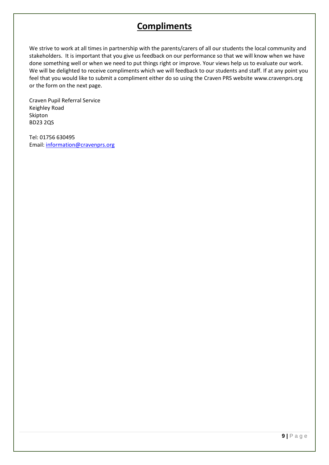# **Compliments**

We strive to work at all times in partnership with the parents/carers of all our students the local community and stakeholders. It is important that you give us feedback on our performance so that we will know when we have done something well or when we need to put things right or improve. Your views help us to evaluate our work. We will be delighted to receive compliments which we will feedback to our students and staff. If at any point you feel that you would like to submit a compliment either do so using the Craven PRS websit[e www.cravenprs.org](http://www.cravenprs.org/) or the form on the next page.

Craven Pupil Referral Service Keighley Road Skipton BD23 2QS

Tel: 01756 630495 Email: [information@cravenprs.org](mailto:information@cravenprs.org)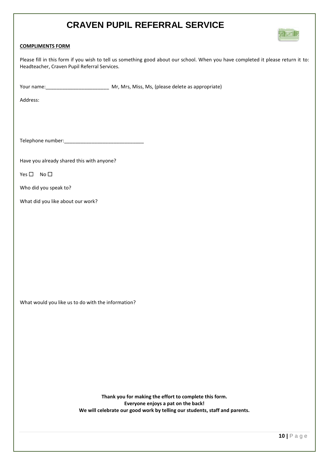# **CRAVEN PUPIL REFERRAL SERVICE**

#### **COMPLIMENTS FORM**

| Please fill in this form if you wish to tell us something good about our school. When you have completed it please return it to: |
|----------------------------------------------------------------------------------------------------------------------------------|
| Headteacher, Craven Pupil Referral Services.                                                                                     |
|                                                                                                                                  |

Your name: \_\_\_\_\_\_\_\_\_\_\_\_\_\_\_\_\_\_\_\_\_\_\_\_\_\_\_\_\_\_\_\_ Mr, Mrs, Miss, Ms, (please delete as appropriate)

Address:

Telephone number:\_\_\_\_\_\_\_\_\_\_\_\_\_\_\_\_\_\_\_\_\_\_\_\_\_\_\_\_\_

Have you already shared this with anyone?

 $Yes \Box No \Box$ 

Who did you speak to?

What did you like about our work?

What would you like us to do with the information?

**Thank you for making the effort to complete this form. Everyone enjoys a pat on the back! We will celebrate our good work by telling our students, staff and parents.** 第三峰